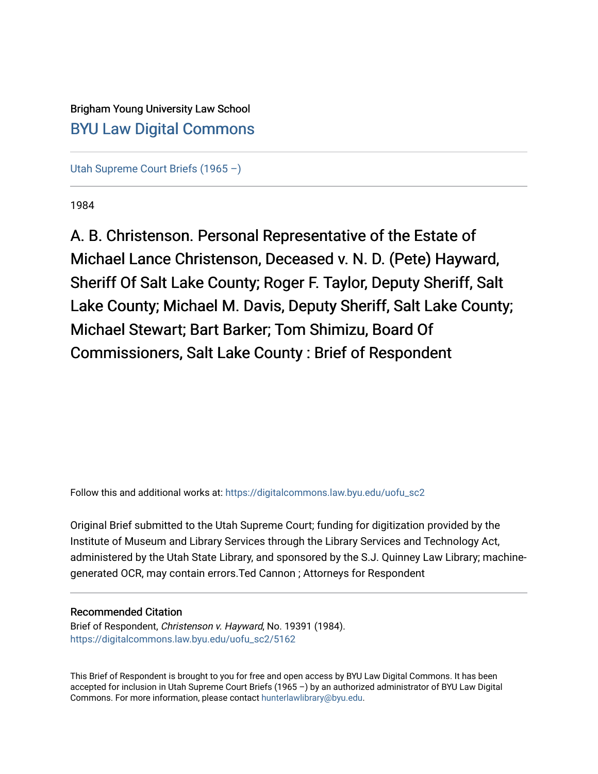Brigham Young University Law School [BYU Law Digital Commons](https://digitalcommons.law.byu.edu/) 

[Utah Supreme Court Briefs \(1965 –\)](https://digitalcommons.law.byu.edu/uofu_sc2)

1984

A. B. Christenson. Personal Representative of the Estate of Michael Lance Christenson, Deceased v. N. D. (Pete) Hayward, Sheriff Of Salt Lake County; Roger F. Taylor, Deputy Sheriff, Salt Lake County; Michael M. Davis, Deputy Sheriff, Salt Lake County; Michael Stewart; Bart Barker; Tom Shimizu, Board Of Commissioners, Salt Lake County : Brief of Respondent

Follow this and additional works at: [https://digitalcommons.law.byu.edu/uofu\\_sc2](https://digitalcommons.law.byu.edu/uofu_sc2?utm_source=digitalcommons.law.byu.edu%2Fuofu_sc2%2F5162&utm_medium=PDF&utm_campaign=PDFCoverPages)

Original Brief submitted to the Utah Supreme Court; funding for digitization provided by the Institute of Museum and Library Services through the Library Services and Technology Act, administered by the Utah State Library, and sponsored by the S.J. Quinney Law Library; machinegenerated OCR, may contain errors.Ted Cannon ; Attorneys for Respondent

# Recommended Citation

Brief of Respondent, Christenson v. Hayward, No. 19391 (1984). [https://digitalcommons.law.byu.edu/uofu\\_sc2/5162](https://digitalcommons.law.byu.edu/uofu_sc2/5162?utm_source=digitalcommons.law.byu.edu%2Fuofu_sc2%2F5162&utm_medium=PDF&utm_campaign=PDFCoverPages) 

This Brief of Respondent is brought to you for free and open access by BYU Law Digital Commons. It has been accepted for inclusion in Utah Supreme Court Briefs (1965 –) by an authorized administrator of BYU Law Digital Commons. For more information, please contact [hunterlawlibrary@byu.edu](mailto:hunterlawlibrary@byu.edu).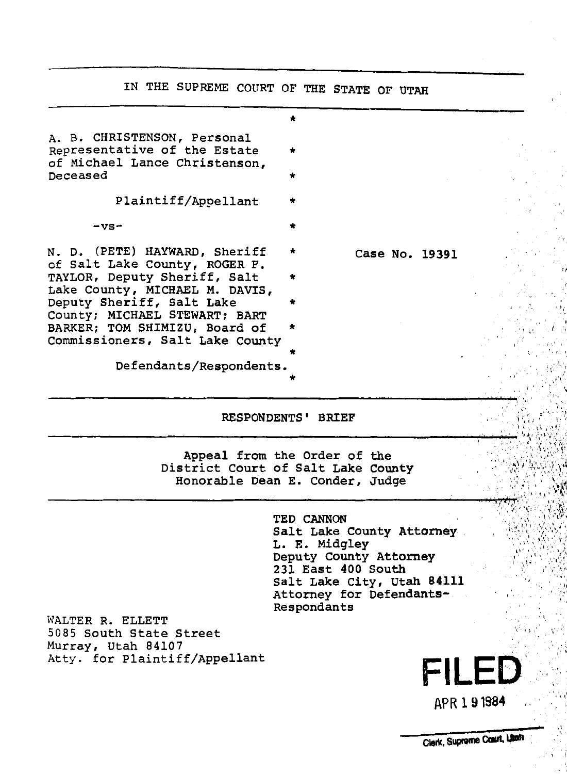IN THE SUPREME COURT OF THE STATE OF UTAH \* A. B. CHRISTENSON, Personal Representative of the Estate of Michael Lance Christenson, Deceased \* Plaintiff/Appellant \* \*  $-vs-$ N. D. (PETE) HAYWARD, Sheriff Case No. 19391 of Salt Lake County, ROGER F. TAYLOR, Deputy Sheriff, Salt \* Lake County, MICHAEL M. DAVIS, Deputy Sheriff, Salt Lake County; MICHAEL STEWART; BART BARKER; TOM SHIMIZU, Board of \* Commissioners, Salt Lake County Defendants/Respondents. \*

RESPONDENTS' BRIEF

Appeal from the Order of the District Court of Salt Lake County Honorable Dean E. Conder, Judge

> TED CANNON Salt Lake County Attorney L. E. Midgley Deputy County Attorney 231 East 400 South Salt Lake City, Utah 84111 Attorney for Defendants-Respondants

WALTER R. ELLETT 5085 South State Street Murray, Utah 84107 Atty. for Plaintiff/Appellant

'I !

**FILED.** 

'I

APR 191984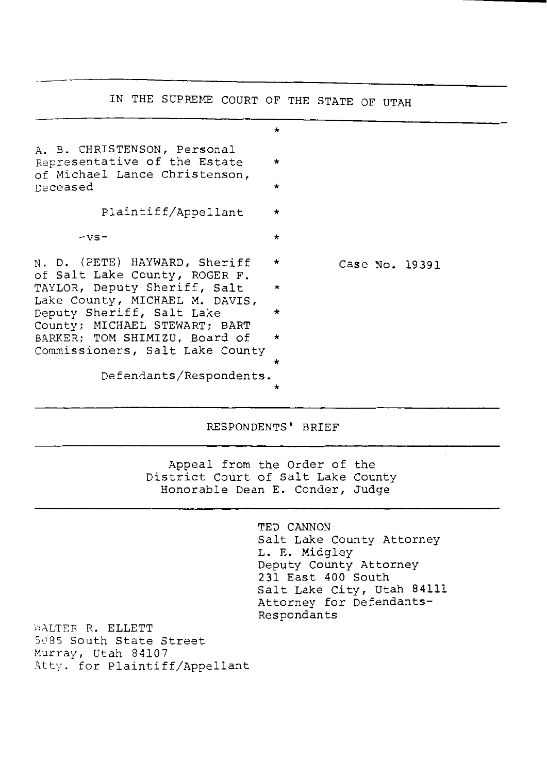IN THE SUPREME COURT OF THE STATE OF UTAH \* A. B. CHRISTENSON, Personal Representative of the Estate of Michael Lance Christenson, Deceased Plaintiff/Appellant \*  $- \vee$ s-  $\star$ N. D. (PETE) HAYWARD, Sheriff of Salt Lake County, ROGER F. TAYLOR, Deputy Sheriff, Salt \* Lake County, MICHAEL M. DAVIS, Deputy Sheriff, Salt Lake \* County; MICHAEL STEWART; BART BARKER; TOM SHIMIZU, Board of \* Commissioners, Salt Lake County Defendants/Respondents. \* Case No. 19391

RESPONDENTS' BRIEF

Appeal from the Order of the District Court of Salt Lake County Honorable Dean E. Conder, Judge

> TED CANNON Salt Lake county Attorney L. E. Midgley Deputy County Attorney 231 East 400 South Salt Lake City, Utah 84111 Attorney for Defendants-Respondants

WALTER R. ELLETT 5085 South State Street Murray, Utah 84107 Atty. for Plaintiff/Appellant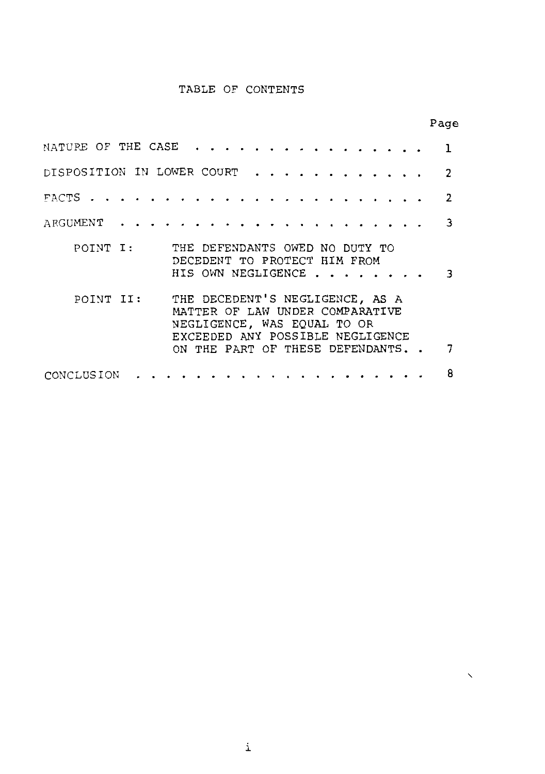## TABLE OF CONTENTS

|                                                                                                                                                                                       | Page           |
|---------------------------------------------------------------------------------------------------------------------------------------------------------------------------------------|----------------|
| NATURE OF THE CASE                                                                                                                                                                    | ٦              |
| DISPOSITION IN LOWER COURT                                                                                                                                                            | $\overline{2}$ |
|                                                                                                                                                                                       | 2              |
| ARGUMENT                                                                                                                                                                              | 3              |
| POINT I:<br>THE DEFENDANTS OWED NO DUTY TO<br>DECEDENT TO PROTECT HIM FROM<br>HIS OWN NEGLIGENCE                                                                                      | ٦              |
| THE DECEDENT'S NEGLIGENCE, AS A<br>POINT II:<br>MATTER OF LAW UNDER COMPARATIVE<br>NEGLIGENCE, WAS EQUAL TO OR<br>EXCEEDED ANY POSSIBLE NEGLIGENCE<br>ON THE PART OF THESE DEFENDANTS |                |
|                                                                                                                                                                                       |                |
| CONCLUSION                                                                                                                                                                            | 8              |

 $\checkmark$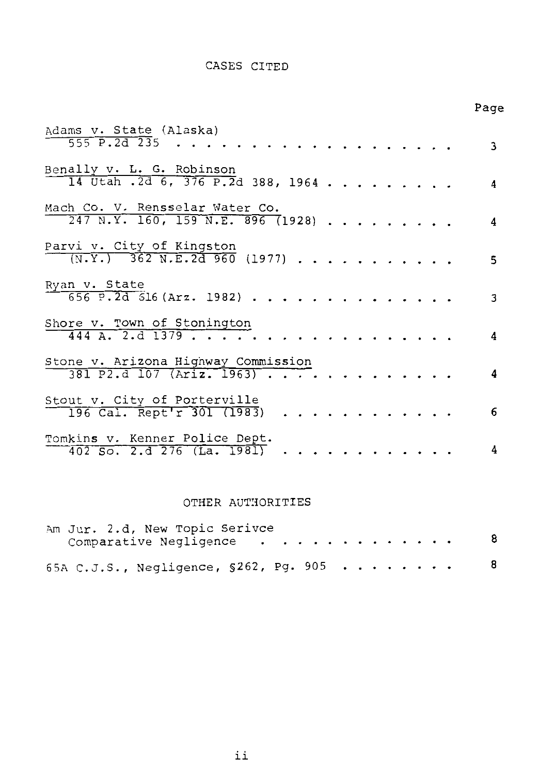## CASES CITED

Page

| Adams v. State (Alaska)                                                |  |  |  |   |
|------------------------------------------------------------------------|--|--|--|---|
| 555 P.2d 235                                                           |  |  |  | 3 |
| Benally v. L. G. Robinson<br>14 Utah .2d 6, 376 P.2d 388, 1964         |  |  |  | 4 |
| Mach Co. V. Rensselar Water Co.<br>$247$ N.Y. 160, 159 N.E. 896 (1928) |  |  |  | 4 |
| Parvi v. City of Kingston<br>$(N.Y.)$ 362 N.E. 2d 960 (1977)           |  |  |  | 5 |
| Ryan v. State<br>$656$ P.2d $516$ (Arz. 1982)                          |  |  |  | 3 |
| Shore v. Town of Stonington<br>$444$ A. 2.d 1379                       |  |  |  | 4 |
| Stone v. Arizona Highway Commission<br>$381$ P2.d $107$ (Ariz. 1963)   |  |  |  | 4 |
| Stout v. City of Porterville<br>196 Cal. Rept'r 301 (1983)             |  |  |  | 6 |
| Tomkins v. Kenner Police Dept.<br>$402$ So. 2.d $276$ (La. 1981)       |  |  |  | 4 |

## OTHER AUTHORITIES

|  | Am Jur. 2.d, New Topic Serivce<br>Comparative Negligence |  |  |  |  |  |  | 8 |
|--|----------------------------------------------------------|--|--|--|--|--|--|---|
|  | 65A C.J.S., Negligence, §262, Pg. 905                    |  |  |  |  |  |  | 8 |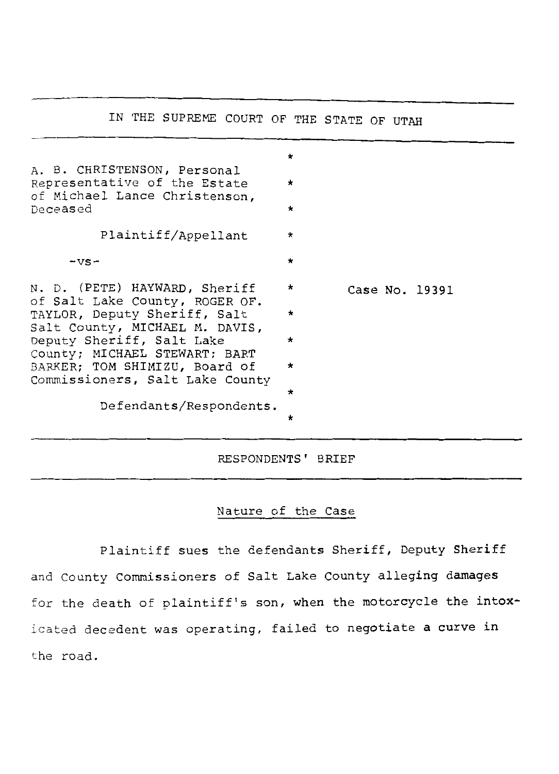# IN THE SUPREME COURT OF THE STATE OF UTAH

| A. B. CHRISTENSON, Personal<br>Representative of the Estate<br>of Michael Lance Christenson,<br>Deceased | $\star$<br>$\star$<br>$\star$ |                |  |
|----------------------------------------------------------------------------------------------------------|-------------------------------|----------------|--|
| Plaintiff/Appellant                                                                                      | $\star$                       |                |  |
| $-vs-$                                                                                                   | $\star$                       |                |  |
| N. D. (PETE) HAYWARD, Sheriff<br>of Salt Lake County, ROGER OF.                                          | $\star$                       | Case No. 19391 |  |
| TAYLOR, Deputy Sheriff, Salt<br>Salt County, MICHAEL M. DAVIS,                                           | *                             |                |  |
| Deputy Sheriff, Salt Lake<br>County; MICHAEL STEWART; BART                                               | $\star$                       |                |  |
| BARKER; TOM SHIMIZU, Board of<br>Commissioners, Salt Lake County                                         | *                             |                |  |
|                                                                                                          | ÷                             |                |  |
| Defendants/Respondents.                                                                                  | *                             |                |  |

RESPONDENTS' BRIEF

# Nature of the Case

Plaintiff sues the defendants Sheriff, Deputy Sheriff and county commissioners of Salt Lake County alleging damages for the death of plaintiff's son, when the motorcycle the intoxicated decedent was operating, failed to negotiate a curve in the road.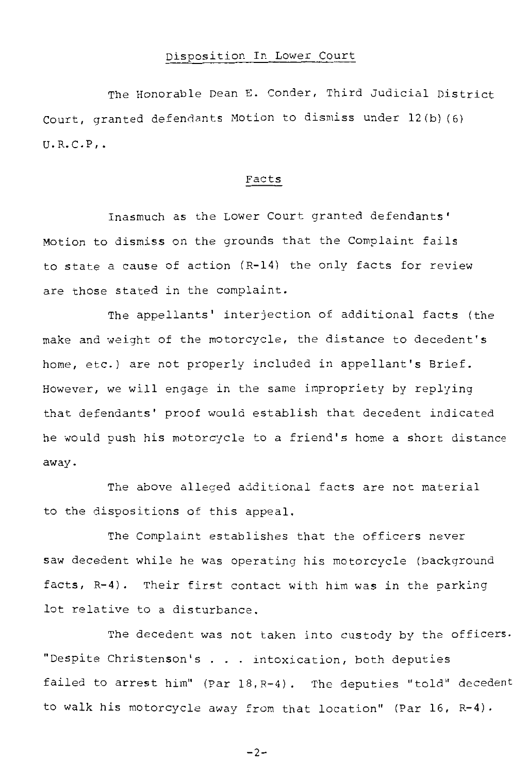#### Disposition In Lower Court

The Honorable Dean E. Conder, Third Judicial District court, granted defendants Motion to dismiss under 12(b) (6)  $U.R.C.P.$ 

#### Facts

Inasmuch as the Lower Court granted defendants' Motion to dismiss on the grounds that the Complaint fails to state a cause of action (R-14) the only facts for review are those stated in the complaint.

The appellants' interjection of additional facts (the make and weight of the motorcycle, the distance to decedent's home, etc.) are not properly included in appellant's Brief. However, we will engage in the same impropriety by replying that defendants' proof would establish that decedent indicated he would push his motorcycle to a friend's home a short distance away.

The above alleged additional facts are not material to the dispositions of this appeal.

The Complaint establishes that the officers never saw decedent while he was operating his motorcycle (background facts, R-4). Their first contact with him was in the parking lot relative to a disturbance.

The decedent was not taken into custody by the officers. "Despite Christenson's . . intoxication, both deputies failed to arrest him" (Par 18,R-4). The deputies "told" decedent to walk his motorcycle away from that location" (Par 16, R-4) ·

 $-2-$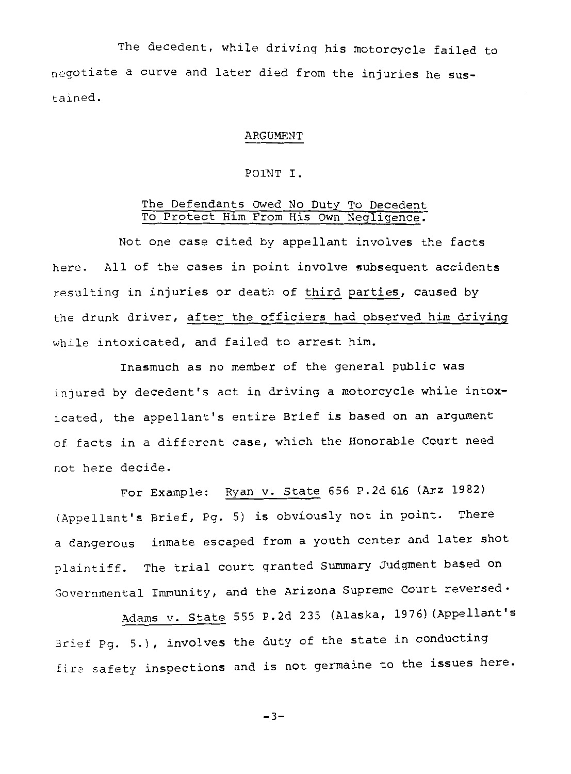The decedent, while driving his motorcycle failed to negotiate a curve and later died from the injuries he sustained.

#### ARGUMENT

#### POINT I.

#### The Defendants Owed No Duty To Decedent To Protect Him From His Own Negligence.

Not one case cited by appellant involves the facts here. All of the cases in point involve subsequent accidents resulting in injuries or death of third parties, caused by the drunk driver, after the officiers had observed him driving while intoxicated, and failed to arrest him.

Inasmuch as no member of the general public was injured by decedent's act in driving a motorcycle while intoxicated, the appellant's entire Brief is based on an argument of facts in a different case, which the Honorable Court need not here decide.

For Example: Ryan v. State 656 P.2d 616 (Arz 1982) (Appellant's Brief, Pg. 5) is obviously not in point. There a dangerous inmate escaped from a youth center and later shot plaintiff. The trial court granted Summary Judgment based on Governmental Immunity, and the Arizona Supreme Court reversed·

Adams v. State 555 P.2d 235 (Alaska, 1976) (Appellant's Brief Pg. 5.), involves the duty of the state in conducting fire safety inspections and is not germaine to the issues here.

 $-3-$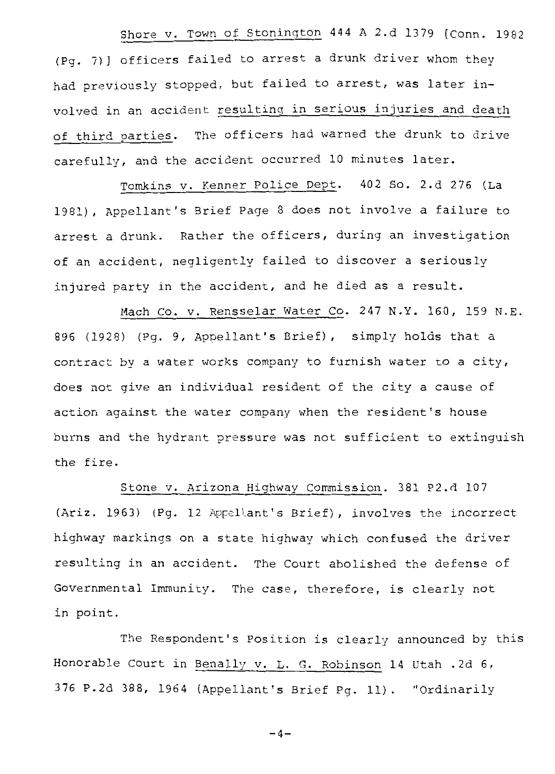Shore v. Town of Stonington 444 A 2.d 1379 [Conn. 1982 (Pg. 7)] officers failed to arrest a drunk driver whom they had previously stopped, but failed to arrest, was later involved in an accident resulting in serious injuries and death of third parties. The officers had warned the drunk to drive carefully, and the accident occurred 10 minutes later.

Tomkins v. Kenner Police Dept. 402 So. 2.d 276 (La 1981), Appellant's Brief Page 8 does not involve a failure to arrest a drunk. Rather the officers, during an investigation of an accident, negligently failed to discover a seriously injured party in the accident, and he died as a result.

Mach Co. v. Rensselar Water Co. 247 N.Y. 160, 159 N.E. 896 (1928) (Pg. 9, Appellant's Brief), simply holds that a contract by a water works company to furnish water to a city, does not give an individual resident of the city a cause of action against the water company when the resident's house burns and the hydrant pressure was not sufficient to extinguish the fire.

Stone v. Arizona Highway Commission. 381 P2.d 107 (Ariz. 1963) (Pg. 12 Appellant's Brief), involves the incorrect highway markings on a state highway which confused the driver resulting in an accident. The court abolished the defense of Governmental Immunity. The case, therefore, is clearly not in point.

The Respondent's Position is clearly announced by this Honorable Court in Benally v. L. G. Robinson 14 Utah .2d 6, 376 P.2d 388, 1964 (Appellant's Brief Pg. 11). "Ordinarily

 $-4-$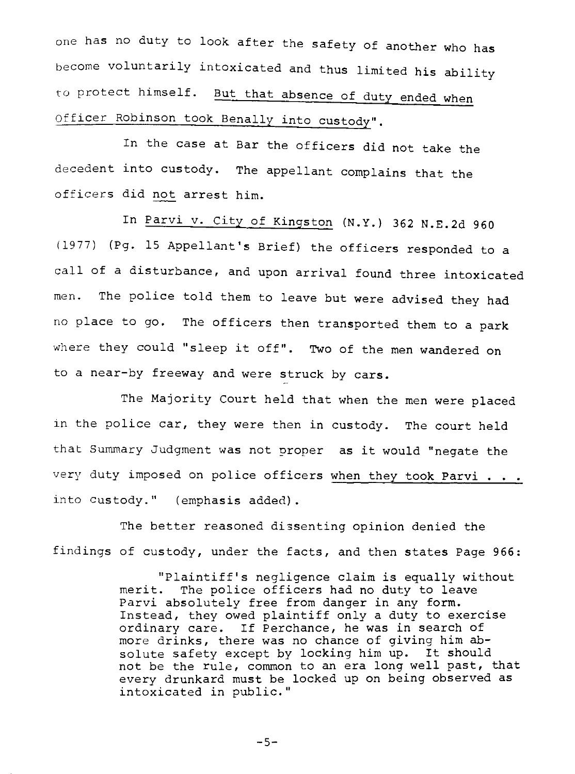one has no duty to look after the safety of another who has become voluntarily intoxicated and thus limited his ability to protect himself. But that absence of duty ended when Officer Robinson took Benally into custody".

In the case at Bar the officers did not take the decedent into custody. The appellant complains that the officers did not arrest him.

In Parvi v. City of Kingston (N.Y.) 362 N.E.2d 960 (1977) (Pg. 15 Appellant's Brief) the officers responded to a call of a disturbance, and upon arrival found three intoxicated men. The police told them to leave but were advised they had no place to go. The officers then transported them to a park where they could "sleep it off". Two of the men wandered on to a near-by freeway and were struck by cars.

The Majority Court held that when the men were placed in the police car, they were then in custody. The court held that Summary Judgment was not proper as it would "negate the very duty imposed on police officers when they took Parvi . . . into custody." (emphasis added).

The better reasoned dissenting opinion denied the findings of custody, under the facts, and then states Page 966:

> "Plaintiff's negligence claim is equally without merit. The police officers had no duty to leave Parvi absolutely free from danger in any form. Instead, they owed plaintiff only a duty to exercise ordinary care. If Perchance, he was in search of more drinks, there was no chance of giving him absolute safety except by locking him up. It should not be the rule, common to an era long well past, that every drunkard must be locked up on being observed as intoxicated in public."

> > -5-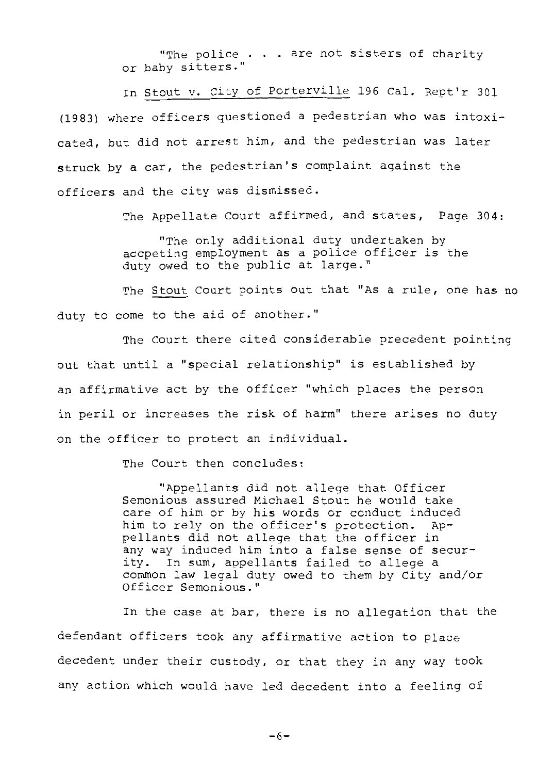"The police . . . are not sisters of charity or baby sitters."

In Stout v. City of Porterville 196 Cal. Rept'r 301 (1983) where officers questioned a pedestrian who was intoxicated, but did not arrest him, and the pedestrian was later struck by a car, the pedestrian's complaint against the officers and the city was dismissed.

The Appellate Court affirmed, and states, Page 304:

"The only additional duty undertaken by accpeting employment as a police officer is the duty owed to the public at large."

The Stout Court points out that "As a rule, one has no duty to come to the aid of another."

The court there cited considerable precedent pointing out that until a "special relationship" is established by an affirmative act by the officer "which places the person in peril or increases the risk of harm" there arises no duty on the officer to protect an individual.

The Court then concludes:

"Appellants did not allege that Officer Semonious assured Michael Stout he would take care of him or by his words or conduct induced<br>him to rely on the officer's protection. Aphim to rely on the officer's protection. pellants did not allege that the officer in any way induced him into a false sense of security. In sum, appellants failed to allege a common law legal duty owed to them by City and/or Officer Semonious."

In the case at bar, there is no allegation that the defendant officers took any affirmative action to place decedent under their custody, or that they in any way took any action which would have led decedent into a feeling of

-6-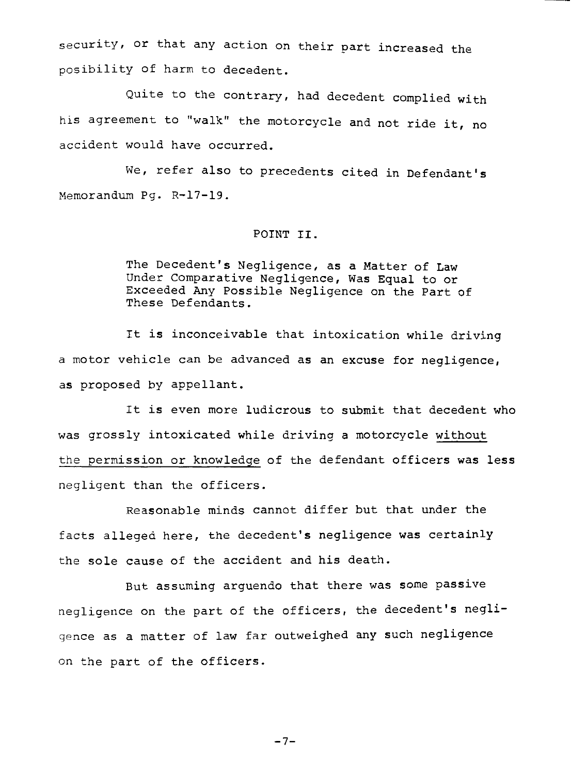security, or that any action on their part increased the posibility of harm to decedent.

Quite to the contrary, had decedent complied with his agreement to "walk" the motorcycle and not ride it, no accident would have occurred.

We, refer also to precedents cited in Defendant's Memorandum Pg. R-17-19.

#### POINT II.

The Decedent's Negligence, as a Matter of Law Under Comparative Negligence, Was Equal to or Exceeded Any Possible Negligence on the Part of These Defendants.

It is inconceivable that intoxication while driving a motor vehicle can be advanced as an excuse for negligence, as proposed by appellant.

It is even more ludicrous to submit that decedent who was grossly intoxicated while driving a motorcycle without the permission or knowledge of the defendant officers was less negligent than the officers.

Reasonable minds cannot differ but that under the facts alleged here, the decedent's negligence was certainly the sole cause of the accident and his death.

But assuming arguendo that there was some passive negligence on the part of the officers, the decedent's negligence as a matter of law far outweighed any such negligence on the part of the officers.

 $-7-$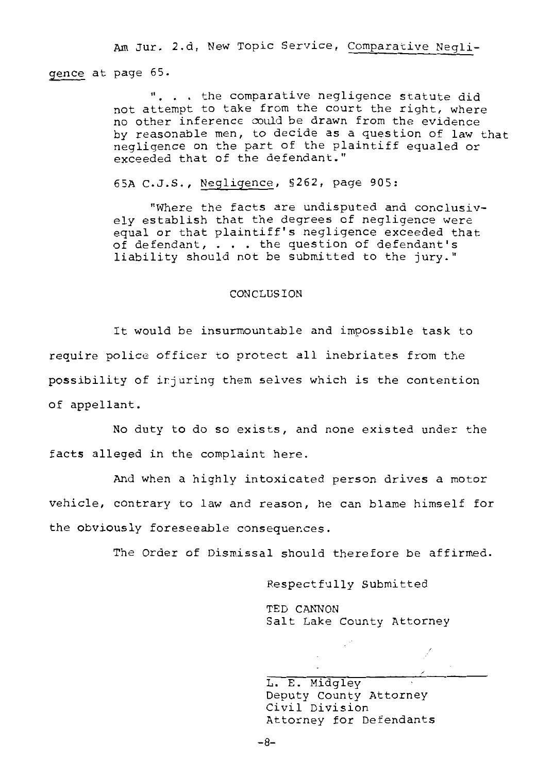Am Jur. 2.d, New Topic Service, Comparative Negli-

gence at page 65.

. the comparative negligence statute did not attempt to take from the court the right, where no other inference could be drawn from the evidence by reasonable men, to decide as a question of law that negligence on the part of the plaintiff equaled or exceeded that of the defendant."

65A C.J.S., Negligence, §262, page 905:

"Where the facts are undisputed and conclusively establish that the degrees of negligence were equal or that plaintiff's negligence exceeded that of defendant, ... the question of defendant's liability should not be submitted to the jury."

#### CONCLUSION

It would be insurmountable and impossible task to require police officer to protect all inebriates from the possibility of irjuring them selves which is the contention of appellant.

No duty to do so exists, and none existed under the facts alleged in the complaint here.

And when a highly intoxicated person drives a motor vehicle, contrary to law and reason, he can blame himself for the obviously foreseeable consequences.

The Order of Dismissal should therefore be affirmed.

Respectfully Submitted

TED CANNON Salt Lake County Attorney

L. E. Midgley Deputy County Attorney Civil Division Attorney for Defendants

-8-